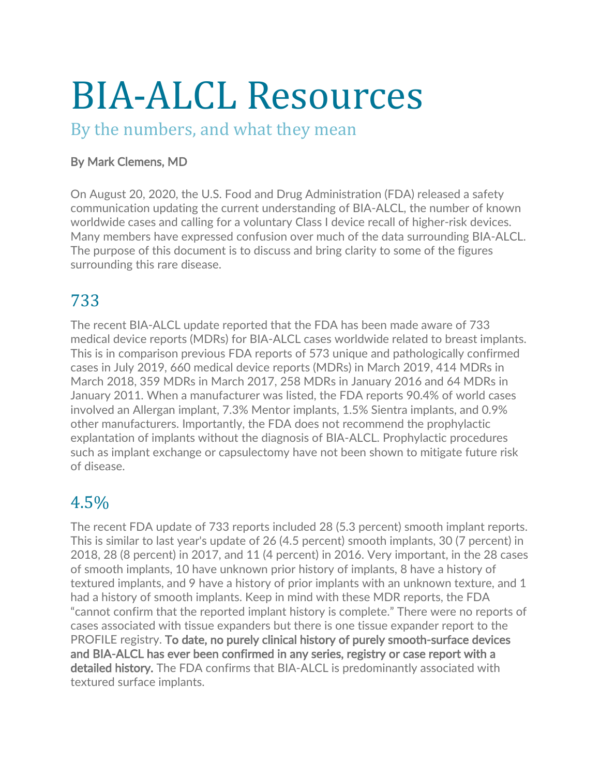# BIA-ALCL Resources

#### By the numbers, and what they mean

#### By Mark Clemens, MD

On August 20, 2020, the U.S. Food and Drug Administration (FDA) released a safety communication updating the current understanding of BIA-ALCL, the number of known worldwide cases and calling for a voluntary Class I device recall of higher-risk devices. Many members have expressed confusion over much of the data surrounding BIA-ALCL. The purpose of this document is to discuss and bring clarity to some of the figures surrounding this rare disease.

# 733

The recent BIA-ALCL update reported that the FDA has been made aware of 733 medical device reports (MDRs) for BIA-ALCL cases worldwide related to breast implants. This is in comparison previous FDA reports of 573 unique and pathologically confirmed cases in July 2019, 660 medical device reports (MDRs) in March 2019, 414 MDRs in March 2018, 359 MDRs in March 2017, 258 MDRs in January 2016 and 64 MDRs in January 2011. When a manufacturer was listed, the FDA reports 90.4% of world cases involved an Allergan implant, 7.3% Mentor implants, 1.5% Sientra implants, and 0.9% other manufacturers. Importantly, the FDA does not recommend the prophylactic explantation of implants without the diagnosis of BIA-ALCL. Prophylactic procedures such as implant exchange or capsulectomy have not been shown to mitigate future risk of disease.

# 4.5%

The recent FDA update of 733 reports included 28 (5.3 percent) smooth implant reports. This is similar to last year's update of 26 (4.5 percent) smooth implants, 30 (7 percent) in 2018, 28 (8 percent) in 2017, and 11 (4 percent) in 2016. Very important, in the 28 cases of smooth implants, 10 have unknown prior history of implants, 8 have a history of textured implants, and 9 have a history of prior implants with an unknown texture, and 1 had a history of smooth implants. Keep in mind with these MDR reports, the FDA "cannot confirm that the reported implant history is complete." There were no reports of cases associated with tissue expanders but there is one tissue expander report to the PROFILE registry. To date, no purely clinical history of purely smooth-surface devices and BIA-ALCL has ever been confirmed in any series, registry or case report with a detailed history. The FDA confirms that BIA-ALCL is predominantly associated with textured surface implants.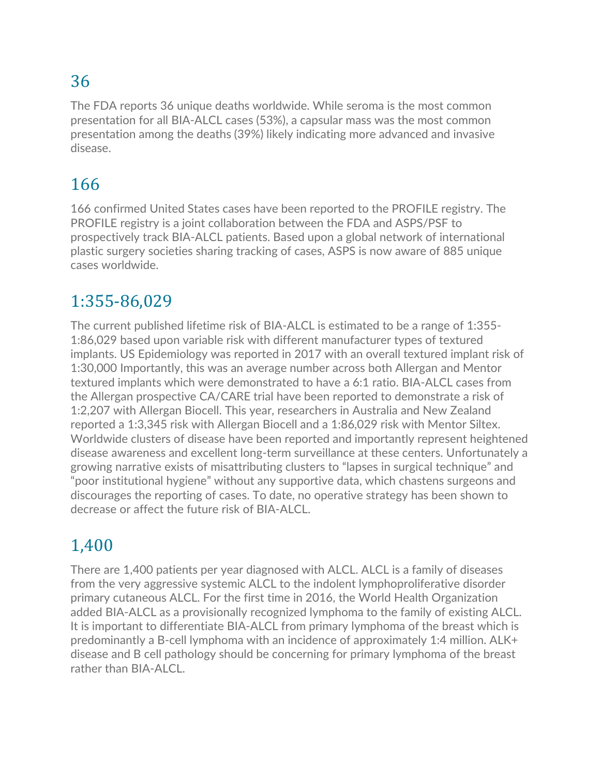# 36

The FDA reports 36 unique deaths worldwide. While seroma is the most common presentation for all BIA-ALCL cases (53%), a capsular mass was the most common presentation among the deaths (39%) likely indicating more advanced and invasive disease.

# 166

166 confirmed United States cases have been reported to the PROFILE registry. The PROFILE registry is a joint collaboration between the FDA and ASPS/PSF to prospectively track BIA-ALCL patients. Based upon a global network of international plastic surgery societies sharing tracking of cases, ASPS is now aware of 885 unique cases worldwide.

# 1:355-86,029

The current published lifetime risk of BIA-ALCL is estimated to be a range of 1:355- 1:86,029 based upon variable risk with different manufacturer types of textured implants. US Epidemiology was reported in 2017 with an overall textured implant risk of 1:30,000 Importantly, this was an average number across both Allergan and Mentor textured implants which were demonstrated to have a 6:1 ratio. BIA-ALCL cases from the Allergan prospective CA/CARE trial have been reported to demonstrate a risk of 1:2,207 with Allergan Biocell. This year, researchers in Australia and New Zealand reported a 1:3,345 risk with Allergan Biocell and a 1:86,029 risk with Mentor Siltex. Worldwide clusters of disease have been reported and importantly represent heightened disease awareness and excellent long-term surveillance at these centers. Unfortunately a growing narrative exists of misattributing clusters to "lapses in surgical technique" and "poor institutional hygiene" without any supportive data, which chastens surgeons and discourages the reporting of cases. To date, no operative strategy has been shown to decrease or affect the future risk of BIA-ALCL.

# 1,400

There are 1,400 patients per year diagnosed with ALCL. ALCL is a family of diseases from the very aggressive systemic ALCL to the indolent lymphoproliferative disorder primary cutaneous ALCL. For the first time in 2016, the World Health Organization added BIA-ALCL as a provisionally recognized lymphoma to the family of existing ALCL. It is important to differentiate BIA-ALCL from primary lymphoma of the breast which is predominantly a B-cell lymphoma with an incidence of approximately 1:4 million. ALK+ disease and B cell pathology should be concerning for primary lymphoma of the breast rather than BIA-ALCL.